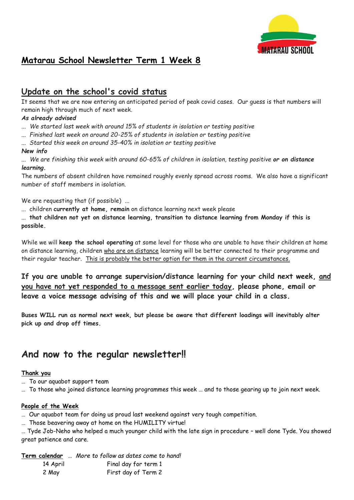

# **Matarau School Newsletter Term 1 Week 8**

# **Update on the school's covid status**

It seems that we are now entering an anticipated period of peak covid cases. Our guess is that numbers will remain high through much of next week.

# *As already advised*

- *... We started last week with around 15% of students in isolation or testing positive*
- *... Finished last week on around 20-25% of students in isolation or testing positive*
- *... Started this week on around 35-40% in isolation or testing positive*

# *New info*

*... We are finishing this week with around 60-65% of children in isolation, testing positive or on distance learning.*

The numbers of absent children have remained roughly evenly spread across rooms. We also have a significant number of staff members in isolation.

We are requesting that (if possible) ...

... children **currently at home, remain** on distance learning next week please

... **that children not yet on distance learning, transition to distance learning from Monday if this is possible.**

While we will **keep the school operating** at some level for those who are unable to have their children at home on distance learning, children who are on distance learning will be better connected to their programme and their regular teacher. This is probably the better option for them in the current circumstances.

**If you are unable to arrange supervision/distance learning for your child next week, and you have not yet responded to a message sent earlier today, please phone, email or leave a voice message advising of this and we will place your child in a class.**

**Buses WILL run as normal next week, but please be aware that different loadings will inevitably alter pick up and drop off times.**

# **And now to the regular newsletter!!**

# **Thank you**

- … To our aquabot support team
- … To those who joined distance learning programmes this week … and to those gearing up to join next week.

# **People of the Week**

… Our aquabot team for doing us proud last weekend against very tough competition.

… Those beavering away at home on the HUMILITY virtue!

… Tyde Job-Neho who helped a much younger child with the late sign in procedure – well done Tyde. You showed great patience and care.

**Term calendar** … *More to follow as dates come to hand!*

| 14 April | Final day for term 1 |
|----------|----------------------|
| 2 May    | First day of Term 2  |